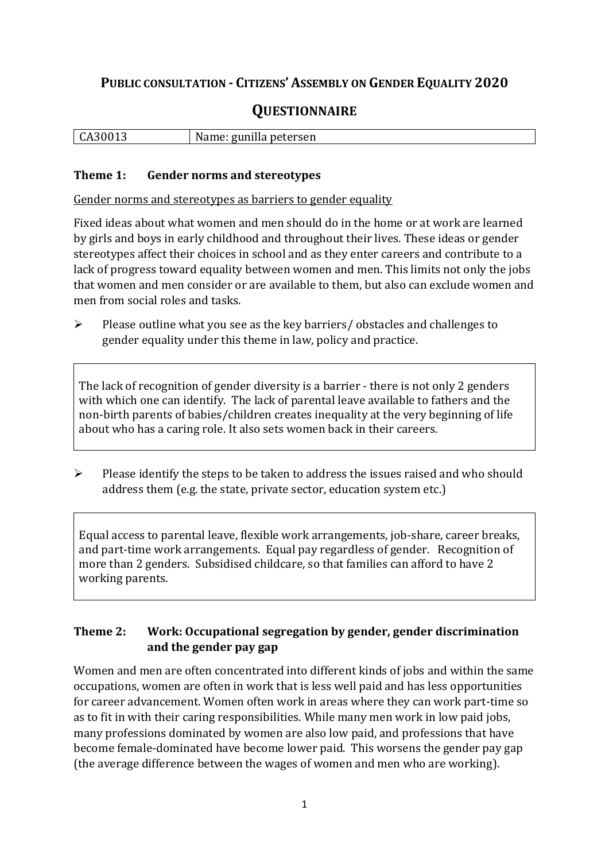## **PUBLIC CONSULTATION - CITIZENS' ASSEMBLY ON GENDER EQUALITY 2020**

# **QUESTIONNAIRE**

|  | $\vert$ CA30013 | gunilla petersen "<br>: Name: £ |
|--|-----------------|---------------------------------|
|--|-----------------|---------------------------------|

#### **Theme 1: Gender norms and stereotypes**

Gender norms and stereotypes as barriers to gender equality

Fixed ideas about what women and men should do in the home or at work are learned by girls and boys in early childhood and throughout their lives. These ideas or gender stereotypes affect their choices in school and as they enter careers and contribute to a lack of progress toward equality between women and men. This limits not only the jobs that women and men consider or are available to them, but also can exclude women and men from social roles and tasks.

➢ Please outline what you see as the key barriers/ obstacles and challenges to gender equality under this theme in law, policy and practice.

The lack of recognition of gender diversity is a barrier - there is not only 2 genders with which one can identify. The lack of parental leave available to fathers and the non-birth parents of babies/children creates inequality at the very beginning of life about who has a caring role. It also sets women back in their careers.

 $\triangleright$  Please identify the steps to be taken to address the issues raised and who should address them (e.g. the state, private sector, education system etc.)

Equal access to parental leave, flexible work arrangements, job-share, career breaks, and part-time work arrangements. Equal pay regardless of gender. Recognition of more than 2 genders. Subsidised childcare, so that families can afford to have 2 working parents.

### **Theme 2: Work: Occupational segregation by gender, gender discrimination and the gender pay gap**

Women and men are often concentrated into different kinds of jobs and within the same occupations, women are often in work that is less well paid and has less opportunities for career advancement. Women often work in areas where they can work part-time so as to fit in with their caring responsibilities. While many men work in low paid jobs, many professions dominated by women are also low paid, and professions that have become female-dominated have become lower paid. This worsens the gender pay gap (the average difference between the wages of women and men who are working).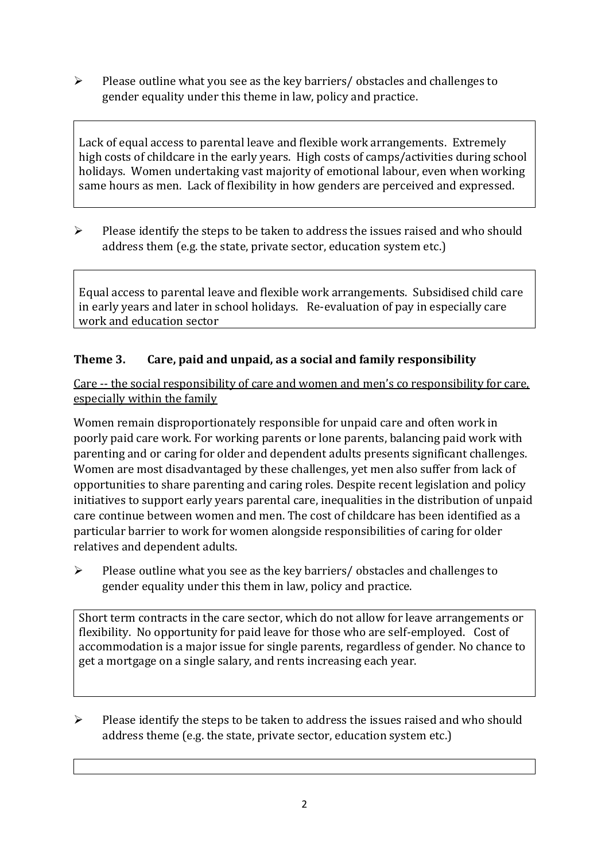➢ Please outline what you see as the key barriers/ obstacles and challenges to gender equality under this theme in law, policy and practice.

Lack of equal access to parental leave and flexible work arrangements. Extremely high costs of childcare in the early years. High costs of camps/activities during school holidays. Women undertaking vast majority of emotional labour, even when working same hours as men. Lack of flexibility in how genders are perceived and expressed.

 $\triangleright$  Please identify the steps to be taken to address the issues raised and who should address them (e.g. the state, private sector, education system etc.)

Equal access to parental leave and flexible work arrangements. Subsidised child care in early years and later in school holidays. Re-evaluation of pay in especially care work and education sector

### **Theme 3. Care, paid and unpaid, as a social and family responsibility**

Care -- the social responsibility of care and women and men's co responsibility for care, especially within the family

Women remain disproportionately responsible for unpaid care and often work in poorly paid care work. For working parents or [lone parents,](https://aran.library.nuigalway.ie/bitstream/handle/10379/6044/Millar_and_Crosse_Activation_Report.pdf?sequence=1&isAllowed=y) balancing paid work with parenting and or caring for older and dependent adults presents significant challenges. Women are [most disadvantaged by these challenges,](https://eige.europa.eu/gender-equality-index/game/IE/W) yet men also suffer from lack of opportunities to share parenting and caring roles. Despite recent legislation and policy initiatives to support early years parental care, [inequalities in the distribution of unpaid](https://www.ihrec.ie/app/uploads/2019/07/Caring-and-Unpaid-Work-in-Ireland_Final.pdf)  [care](https://www.ihrec.ie/app/uploads/2019/07/Caring-and-Unpaid-Work-in-Ireland_Final.pdf) continue between women and men. The cost of childcare has been identified as a particular barrier to work for women alongside responsibilities of caring for older relatives and dependent adults.

➢ Please outline what you see as the key barriers/ obstacles and challenges to gender equality under this them in law, policy and practice.

Short term contracts in the care sector, which do not allow for leave arrangements or flexibility. No opportunity for paid leave for those who are self-employed. Cost of accommodation is a major issue for single parents, regardless of gender. No chance to get a mortgage on a single salary, and rents increasing each year.

➢ Please identify the steps to be taken to address the issues raised and who should address theme (e.g. the state, private sector, education system etc.)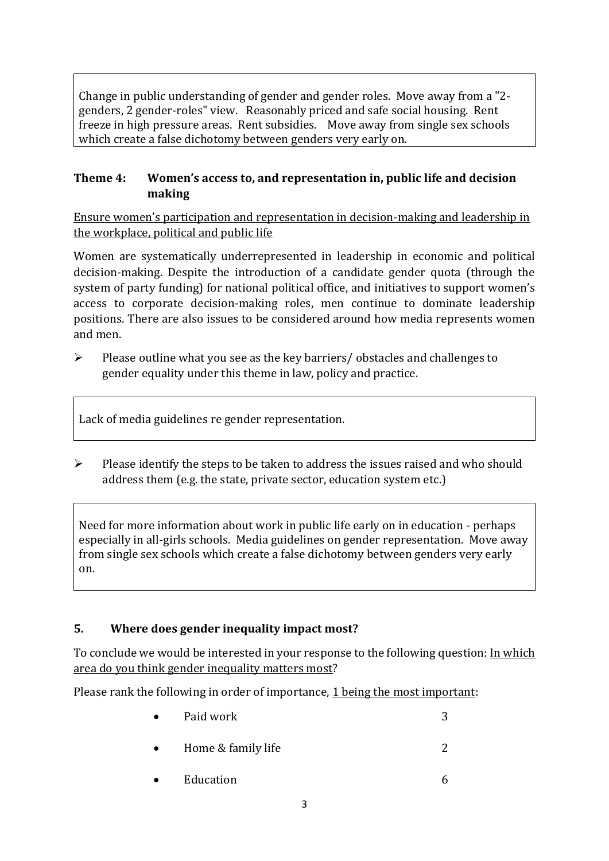Change in public understanding of gender and gender roles. Move away from a "2 genders, 2 gender-roles" view. Reasonably priced and safe social housing. Rent freeze in high pressure areas. Rent subsidies. Move away from single sex schools which create a false dichotomy between genders very early on.

#### **Theme 4: Women's access to, and representation in, public life and decision making**

Ensure women's participation and representation in decision-making and leadership in the workplace, political and public life

Women are systematically underrepresented in leadership in [economic](https://eige.europa.eu/gender-equality-index/2019/compare-countries/power/2/bar) and [political](https://eige.europa.eu/gender-equality-index/2019/compare-countries/power/1/bar)  [decision-](https://eige.europa.eu/gender-equality-index/2019/compare-countries/power/1/bar)making. Despite the introduction of a candidate gender quota (through the system of party funding) for national political office, and [initiatives](https://betterbalance.ie/) to support women's access to corporate decision-making roles, men continue to dominate leadership positions. There are also issues to be considered around how media represents women and men.

➢ Please outline what you see as the key barriers/ obstacles and challenges to gender equality under this theme in law, policy and practice.

Lack of media guidelines re gender representation.

 $\triangleright$  Please identify the steps to be taken to address the issues raised and who should address them (e.g. the state, private sector, education system etc.)

Need for more information about work in public life early on in education - perhaps especially in all-girls schools. Media guidelines on gender representation. Move away from single sex schools which create a false dichotomy between genders very early on.

### **5. Where does gender inequality impact most?**

To conclude we would be interested in your response to the following question: In which area do you think gender inequality matters most?

Please rank the following in order of importance, 1 being the most important:

- Paid work 3 • Home & family life 2
- Education 6